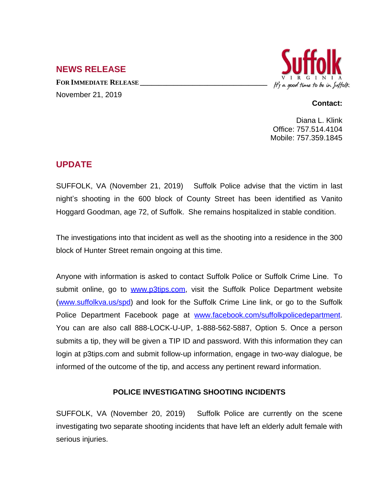## **NEWS RELEASE**

**FOR IMMEDIATE RELEASE \_\_\_\_\_\_\_\_\_\_\_\_\_\_\_\_\_\_\_\_\_\_\_\_\_\_\_\_\_\_\_\_\_\_** November 21, 2019



## **Contact:**

Diana L. Klink Office: 757.514.4104 Mobile: 757.359.1845

## **UPDATE**

SUFFOLK, VA (November 21, 2019) Suffolk Police advise that the victim in last night's shooting in the 600 block of County Street has been identified as Vanito Hoggard Goodman, age 72, of Suffolk. She remains hospitalized in stable condition.

The investigations into that incident as well as the shooting into a residence in the 300 block of Hunter Street remain ongoing at this time.

Anyone with information is asked to contact Suffolk Police or Suffolk Crime Line. To submit online, go to [www.p3tips.com](http://www.p3tips.com), visit the Suffolk Police Department website ([www.suffolkva.us/spd](http://www.suffolkva.us/spd)) and look for the Suffolk Crime Line link, or go to the Suffolk Police Department Facebook page at [www.facebook.com/suffolkpolicedepartment.](http://www.facebook.com/suffolkpolicedepartment) You can are also call 888-LOCK-U-UP, 1-888-562-5887, Option 5. Once a person submits a tip, they will be given a TIP ID and password. With this information they can login at p3tips.com and submit follow-up information, engage in two-way dialogue, be informed of the outcome of the tip, and access any pertinent reward information.

## **POLICE INVESTIGATING SHOOTING INCIDENTS**

SUFFOLK, VA (November 20, 2019) Suffolk Police are currently on the scene investigating two separate shooting incidents that have left an elderly adult female with serious injuries.